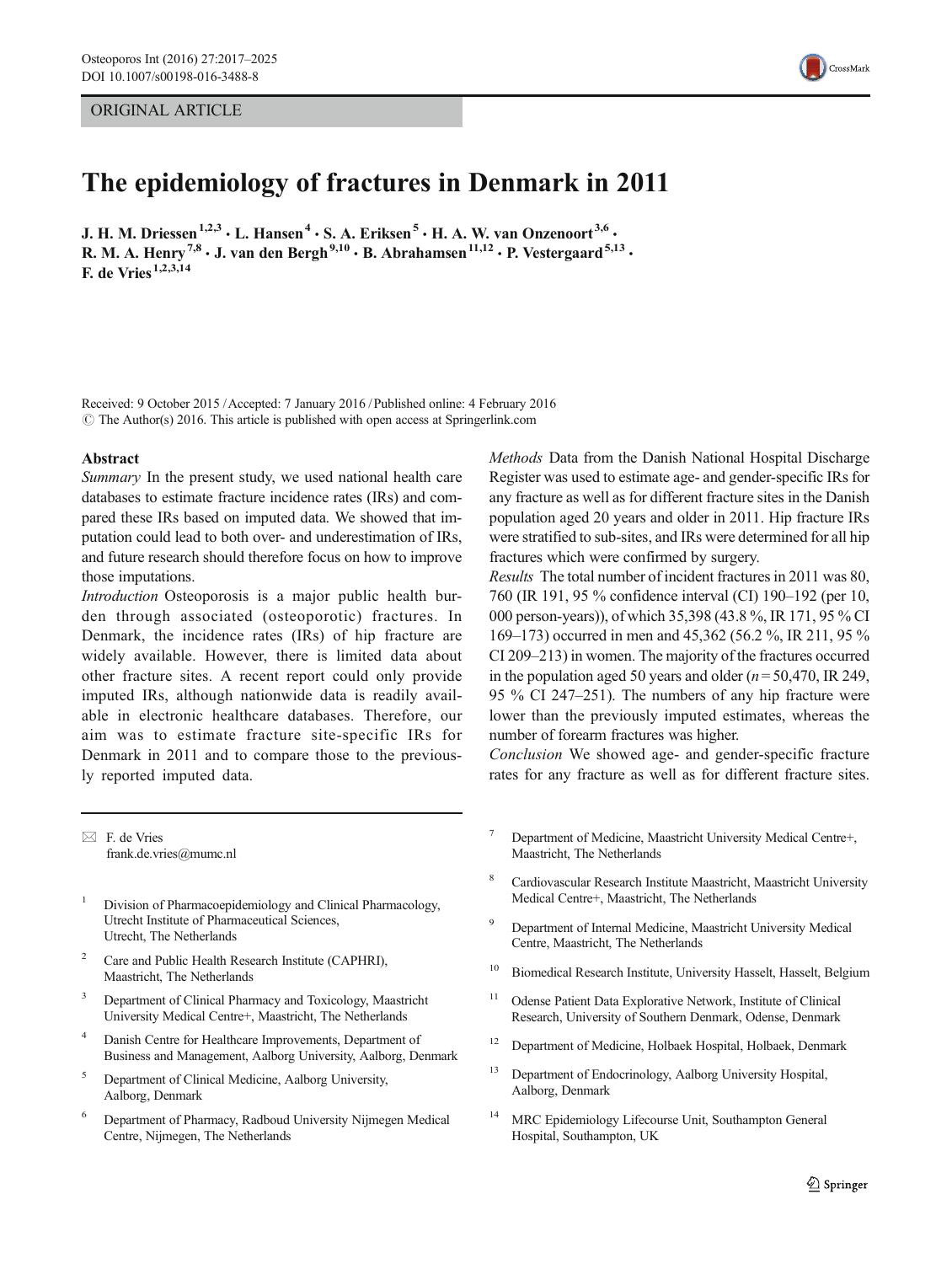# ORIGINAL ARTICLE



# The epidemiology of fractures in Denmark in 2011

J. H. M. Driessen<sup>1,2,3</sup>  $\cdot$  L. Hansen<sup>4</sup>  $\cdot$  S. A. Eriksen<sup>5</sup>  $\cdot$  H. A. W. van Onzenoort<sup>3,6</sup>  $\cdot$ R. M. A. Henry<sup>7,8</sup>  $\cdot$  J. van den Bergh<sup>9,10</sup>  $\cdot$  B. Abrahamsen<sup>11,12</sup>  $\cdot$  P. Vestergaard<sup>5,13</sup>  $\cdot$ F. de Vries<sup> $1,2,3,14$ </sup>

Received: 9 October 2015 /Accepted: 7 January 2016 /Published online: 4 February 2016  $\odot$  The Author(s) 2016. This article is published with open access at Springerlink.com

#### Abstract

Summary In the present study, we used national health care databases to estimate fracture incidence rates (IRs) and compared these IRs based on imputed data. We showed that imputation could lead to both over- and underestimation of IRs, and future research should therefore focus on how to improve those imputations.

Introduction Osteoporosis is a major public health burden through associated (osteoporotic) fractures. In Denmark, the incidence rates (IRs) of hip fracture are widely available. However, there is limited data about other fracture sites. A recent report could only provide imputed IRs, although nationwide data is readily available in electronic healthcare databases. Therefore, our aim was to estimate fracture site-specific IRs for Denmark in 2011 and to compare those to the previously reported imputed data.

 $\boxtimes$  F. de Vries frank.de.vries@mumc.nl

- <sup>1</sup> Division of Pharmacoepidemiology and Clinical Pharmacology, Utrecht Institute of Pharmaceutical Sciences, Utrecht, The Netherlands
- Care and Public Health Research Institute (CAPHRI), Maastricht, The Netherlands
- <sup>3</sup> Department of Clinical Pharmacy and Toxicology, Maastricht University Medical Centre+, Maastricht, The Netherlands
- Danish Centre for Healthcare Improvements, Department of Business and Management, Aalborg University, Aalborg, Denmark
- <sup>5</sup> Department of Clinical Medicine, Aalborg University, Aalborg, Denmark
- <sup>6</sup> Department of Pharmacy, Radboud University Nijmegen Medical Centre, Nijmegen, The Netherlands

Methods Data from the Danish National Hospital Discharge Register was used to estimate age- and gender-specific IRs for any fracture as well as for different fracture sites in the Danish population aged 20 years and older in 2011. Hip fracture IRs were stratified to sub-sites, and IRs were determined for all hip fractures which were confirmed by surgery.

Results The total number of incident fractures in 2011 was 80, 760 (IR 191, 95 % confidence interval (CI) 190–192 (per 10, 000 person-years)), of which 35,398 (43.8 %, IR 171, 95 % CI 169–173) occurred in men and 45,362 (56.2 %, IR 211, 95 % CI 209–213) in women. The majority of the fractures occurred in the population aged 50 years and older ( $n = 50,470$ , IR 249, 95 % CI 247–251). The numbers of any hip fracture were lower than the previously imputed estimates, whereas the number of forearm fractures was higher.

Conclusion We showed age- and gender-specific fracture rates for any fracture as well as for different fracture sites.

- Department of Medicine, Maastricht University Medical Centre+, Maastricht, The Netherlands
- <sup>8</sup> Cardiovascular Research Institute Maastricht, Maastricht University Medical Centre+, Maastricht, The Netherlands
- <sup>9</sup> Department of Internal Medicine, Maastricht University Medical Centre, Maastricht, The Netherlands
- <sup>10</sup> Biomedical Research Institute, University Hasselt, Hasselt, Belgium
- <sup>11</sup> Odense Patient Data Explorative Network, Institute of Clinical Research, University of Southern Denmark, Odense, Denmark
- <sup>12</sup> Department of Medicine, Holbaek Hospital, Holbaek, Denmark
- <sup>13</sup> Department of Endocrinology, Aalborg University Hospital, Aalborg, Denmark
- <sup>14</sup> MRC Epidemiology Lifecourse Unit, Southampton General Hospital, Southampton, UK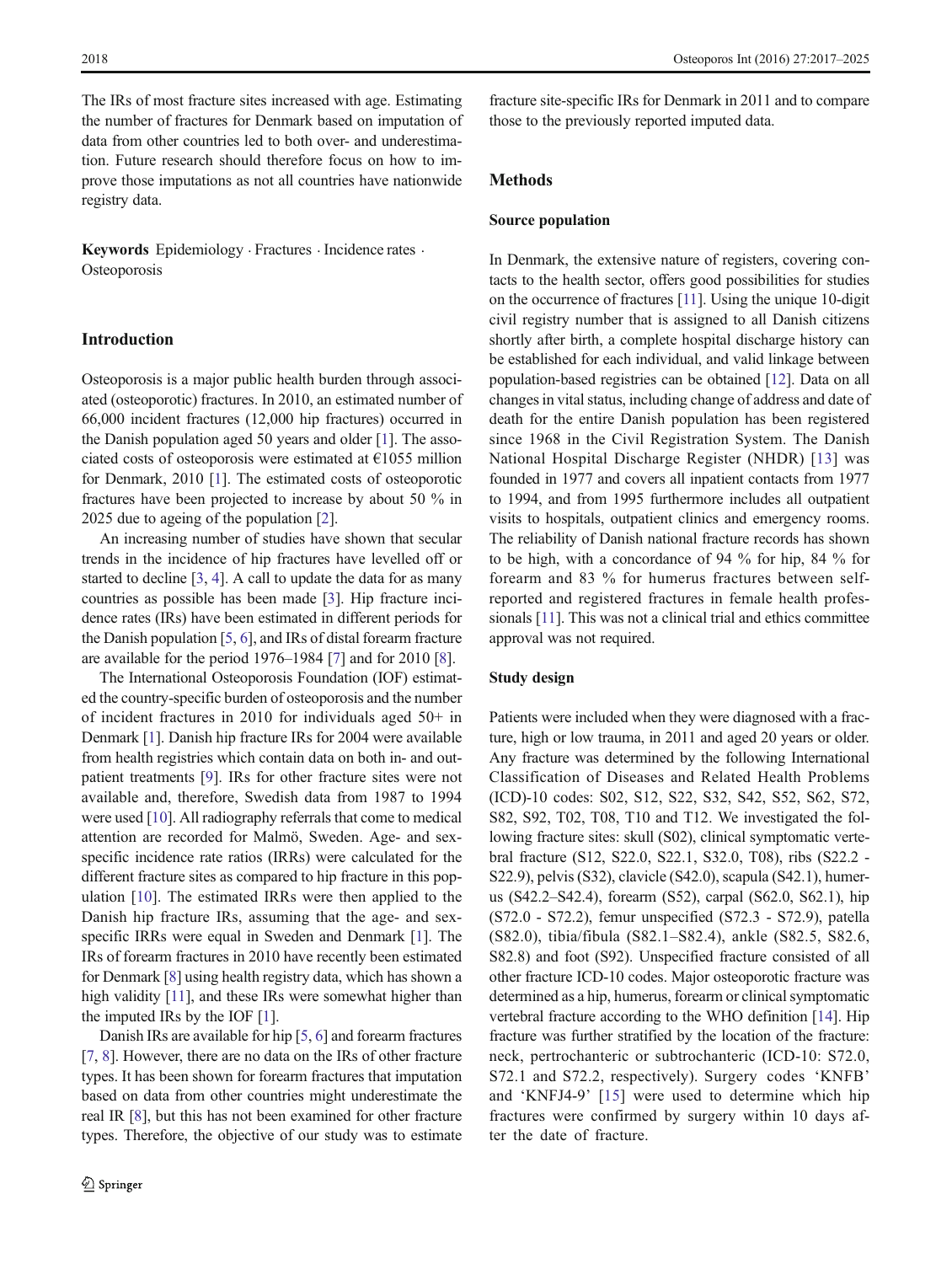The IRs of most fracture sites increased with age. Estimating the number of fractures for Denmark based on imputation of data from other countries led to both over- and underestimation. Future research should therefore focus on how to improve those imputations as not all countries have nationwide registry data.

Keywords Epidemiology · Fractures · Incidence rates · **Osteoporosis** 

# Introduction

Osteoporosis is a major public health burden through associated (osteoporotic) fractures. In 2010, an estimated number of 66,000 incident fractures (12,000 hip fractures) occurred in the Danish population aged 50 years and older [\[1](#page-7-0)]. The associated costs of osteoporosis were estimated at  $E1055$  million for Denmark, 2010 [\[1\]](#page-7-0). The estimated costs of osteoporotic fractures have been projected to increase by about 50 % in 2025 due to ageing of the population [\[2](#page-7-0)].

An increasing number of studies have shown that secular trends in the incidence of hip fractures have levelled off or started to decline [[3,](#page-7-0) [4](#page-7-0)]. A call to update the data for as many countries as possible has been made [\[3\]](#page-7-0). Hip fracture incidence rates (IRs) have been estimated in different periods for the Danish population [[5,](#page-7-0) [6](#page-7-0)], and IRs of distal forearm fracture are available for the period 1976–1984 [\[7](#page-7-0)] and for 2010 [[8\]](#page-7-0).

The International Osteoporosis Foundation (IOF) estimated the country-specific burden of osteoporosis and the number of incident fractures in 2010 for individuals aged 50+ in Denmark [[1\]](#page-7-0). Danish hip fracture IRs for 2004 were available from health registries which contain data on both in- and outpatient treatments [[9\]](#page-7-0). IRs for other fracture sites were not available and, therefore, Swedish data from 1987 to 1994 were used [[10\]](#page-7-0). All radiography referrals that come to medical attention are recorded for Malmö, Sweden. Age- and sexspecific incidence rate ratios (IRRs) were calculated for the different fracture sites as compared to hip fracture in this population [\[10](#page-7-0)]. The estimated IRRs were then applied to the Danish hip fracture IRs, assuming that the age- and sexspecific IRRs were equal in Sweden and Denmark [\[1\]](#page-7-0). The IRs of forearm fractures in 2010 have recently been estimated for Denmark [[8](#page-7-0)] using health registry data, which has shown a high validity [[11](#page-7-0)], and these IRs were somewhat higher than the imputed IRs by the IOF [\[1](#page-7-0)].

Danish IRs are available for hip [\[5,](#page-7-0) [6](#page-7-0)] and forearm fractures [\[7,](#page-7-0) [8\]](#page-7-0). However, there are no data on the IRs of other fracture types. It has been shown for forearm fractures that imputation based on data from other countries might underestimate the real IR [\[8\]](#page-7-0), but this has not been examined for other fracture types. Therefore, the objective of our study was to estimate fracture site-specific IRs for Denmark in 2011 and to compare those to the previously reported imputed data.

# Methods

# Source population

In Denmark, the extensive nature of registers, covering contacts to the health sector, offers good possibilities for studies on the occurrence of fractures [\[11\]](#page-7-0). Using the unique 10-digit civil registry number that is assigned to all Danish citizens shortly after birth, a complete hospital discharge history can be established for each individual, and valid linkage between population-based registries can be obtained [\[12\]](#page-7-0). Data on all changes in vital status, including change of address and date of death for the entire Danish population has been registered since 1968 in the Civil Registration System. The Danish National Hospital Discharge Register (NHDR) [[13](#page-7-0)] was founded in 1977 and covers all inpatient contacts from 1977 to 1994, and from 1995 furthermore includes all outpatient visits to hospitals, outpatient clinics and emergency rooms. The reliability of Danish national fracture records has shown to be high, with a concordance of 94 % for hip, 84 % for forearm and 83 % for humerus fractures between selfreported and registered fractures in female health professionals [\[11\]](#page-7-0). This was not a clinical trial and ethics committee approval was not required.

## Study design

Patients were included when they were diagnosed with a fracture, high or low trauma, in 2011 and aged 20 years or older. Any fracture was determined by the following International Classification of Diseases and Related Health Problems (ICD)-10 codes: S02, S12, S22, S32, S42, S52, S62, S72, S82, S92, T02, T08, T10 and T12. We investigated the following fracture sites: skull (S02), clinical symptomatic vertebral fracture (S12, S22.0, S22.1, S32.0, T08), ribs (S22.2 - S22.9), pelvis (S32), clavicle (S42.0), scapula (S42.1), humerus (S42.2–S42.4), forearm (S52), carpal (S62.0, S62.1), hip (S72.0 - S72.2), femur unspecified (S72.3 - S72.9), patella (S82.0), tibia/fibula (S82.1–S82.4), ankle (S82.5, S82.6, S82.8) and foot (S92). Unspecified fracture consisted of all other fracture ICD-10 codes. Major osteoporotic fracture was determined as a hip, humerus, forearm or clinical symptomatic vertebral fracture according to the WHO definition [\[14](#page-7-0)]. Hip fracture was further stratified by the location of the fracture: neck, pertrochanteric or subtrochanteric (ICD-10: S72.0, S72.1 and S72.2, respectively). Surgery codes 'KNFB' and 'KNFJ4-9' [[15](#page-8-0)] were used to determine which hip fractures were confirmed by surgery within 10 days after the date of fracture.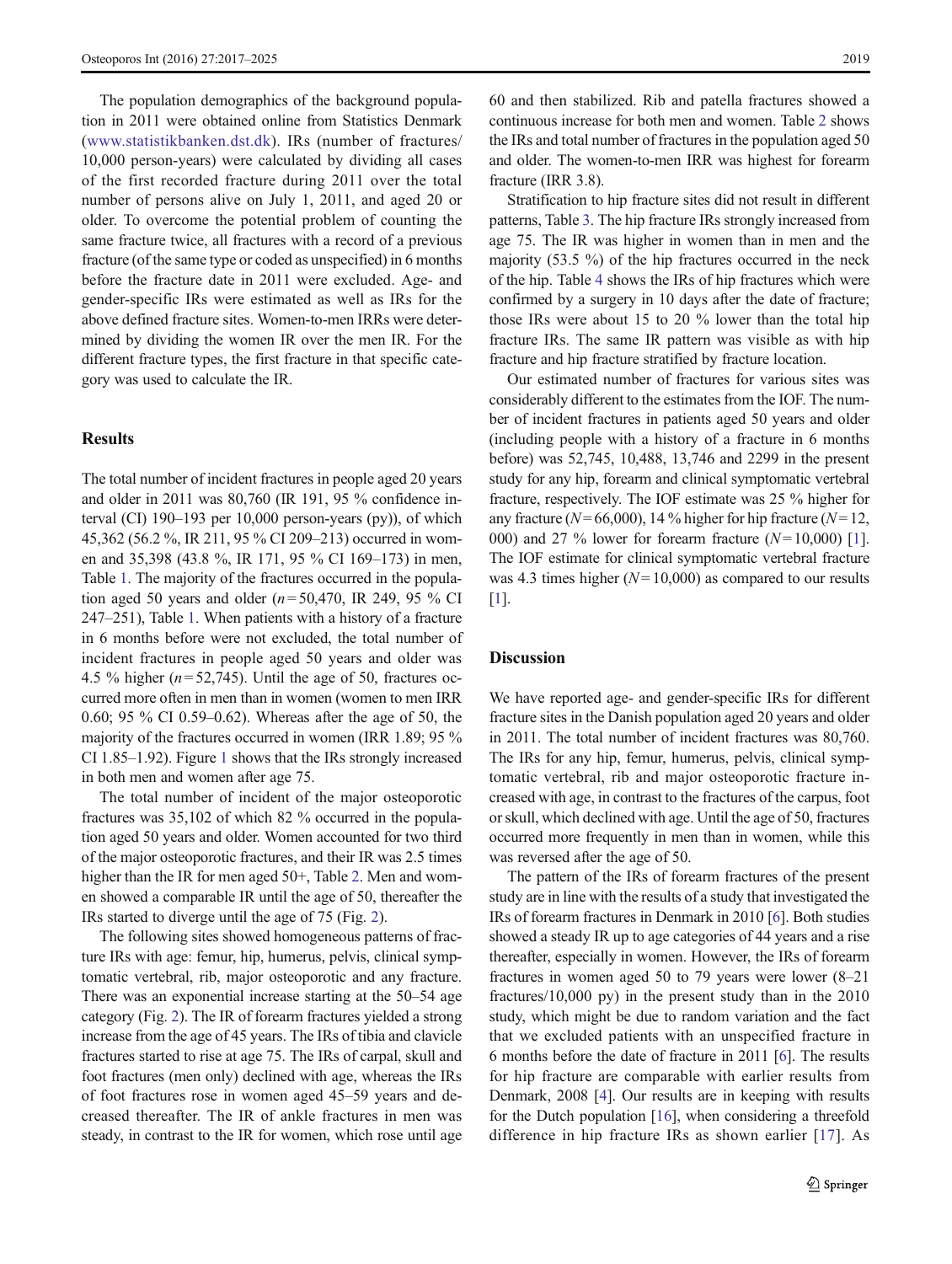The population demographics of the background population in 2011 were obtained online from Statistics Denmark [\(www.statistikbanken.dst.dk\)](http://www.statistikbanken.dst.dk/). IRs (number of fractures/ 10,000 person-years) were calculated by dividing all cases of the first recorded fracture during 2011 over the total number of persons alive on July 1, 2011, and aged 20 or older. To overcome the potential problem of counting the same fracture twice, all fractures with a record of a previous fracture (of the same type or coded as unspecified) in 6 months before the fracture date in 2011 were excluded. Age- and gender-specific IRs were estimated as well as IRs for the above defined fracture sites. Women-to-men IRRs were determined by dividing the women IR over the men IR. For the different fracture types, the first fracture in that specific category was used to calculate the IR.

# **Results**

The total number of incident fractures in people aged 20 years and older in 2011 was 80,760 (IR 191, 95 % confidence interval (CI) 190–193 per 10,000 person-years (py)), of which 45,362 (56.2 %, IR 211, 95 % CI 209–213) occurred in women and 35,398 (43.8 %, IR 171, 95 % CI 169–173) in men, Table [1.](#page-3-0) The majority of the fractures occurred in the population aged 50 years and older ( $n = 50,470$ , IR 249, 95 % CI 247–251), Table [1](#page-3-0). When patients with a history of a fracture in 6 months before were not excluded, the total number of incident fractures in people aged 50 years and older was 4.5 % higher ( $n = 52,745$ ). Until the age of 50, fractures occurred more often in men than in women (women to men IRR 0.60; 95 % CI 0.59–0.62). Whereas after the age of 50, the majority of the fractures occurred in women (IRR 1.89; 95 % CI 1.85–1.92). Figure [1](#page-4-0) shows that the IRs strongly increased in both men and women after age 75.

The total number of incident of the major osteoporotic fractures was 35,102 of which 82 % occurred in the population aged 50 years and older. Women accounted for two third of the major osteoporotic fractures, and their IR was 2.5 times higher than the IR for men aged 50+, Table [2.](#page-4-0) Men and women showed a comparable IR until the age of 50, thereafter the IRs started to diverge until the age of 75 (Fig. [2](#page-5-0)).

The following sites showed homogeneous patterns of fracture IRs with age: femur, hip, humerus, pelvis, clinical symptomatic vertebral, rib, major osteoporotic and any fracture. There was an exponential increase starting at the 50–54 age category (Fig. [2](#page-5-0)). The IR of forearm fractures yielded a strong increase from the age of 45 years. The IRs of tibia and clavicle fractures started to rise at age 75. The IRs of carpal, skull and foot fractures (men only) declined with age, whereas the IRs of foot fractures rose in women aged 45–59 years and decreased thereafter. The IR of ankle fractures in men was steady, in contrast to the IR for women, which rose until age 60 and then stabilized. Rib and patella fractures showed a continuous increase for both men and women. Table [2](#page-4-0) shows the IRs and total number of fractures in the population aged 50 and older. The women-to-men IRR was highest for forearm fracture (IRR 3.8).

Stratification to hip fracture sites did not result in different patterns, Table [3](#page-6-0). The hip fracture IRs strongly increased from age 75. The IR was higher in women than in men and the majority (53.5 %) of the hip fractures occurred in the neck of the hip. Table [4](#page-6-0) shows the IRs of hip fractures which were confirmed by a surgery in 10 days after the date of fracture; those IRs were about 15 to 20 % lower than the total hip fracture IRs. The same IR pattern was visible as with hip fracture and hip fracture stratified by fracture location.

Our estimated number of fractures for various sites was considerably different to the estimates from the IOF. The number of incident fractures in patients aged 50 years and older (including people with a history of a fracture in 6 months before) was 52,745, 10,488, 13,746 and 2299 in the present study for any hip, forearm and clinical symptomatic vertebral fracture, respectively. The IOF estimate was 25 % higher for any fracture ( $N= 66,000$ ), 14 % higher for hip fracture ( $N= 12$ , 000) and 27 % lower for forearm fracture  $(N=10,000)$  [[1\]](#page-7-0). The IOF estimate for clinical symptomatic vertebral fracture was 4.3 times higher  $(N= 10,000)$  as compared to our results [\[1](#page-7-0)].

## **Discussion**

We have reported age- and gender-specific IRs for different fracture sites in the Danish population aged 20 years and older in 2011. The total number of incident fractures was 80,760. The IRs for any hip, femur, humerus, pelvis, clinical symptomatic vertebral, rib and major osteoporotic fracture increased with age, in contrast to the fractures of the carpus, foot or skull, which declined with age. Until the age of 50, fractures occurred more frequently in men than in women, while this was reversed after the age of 50.

The pattern of the IRs of forearm fractures of the present study are in line with the results of a study that investigated the IRs of forearm fractures in Denmark in 2010 [\[6](#page-7-0)]. Both studies showed a steady IR up to age categories of 44 years and a rise thereafter, especially in women. However, the IRs of forearm fractures in women aged 50 to 79 years were lower (8–21 fractures/10,000 py) in the present study than in the 2010 study, which might be due to random variation and the fact that we excluded patients with an unspecified fracture in 6 months before the date of fracture in 2011 [\[6](#page-7-0)]. The results for hip fracture are comparable with earlier results from Denmark, 2008 [\[4\]](#page-7-0). Our results are in keeping with results for the Dutch population [[16](#page-8-0)], when considering a threefold difference in hip fracture IRs as shown earlier [[17\]](#page-8-0). As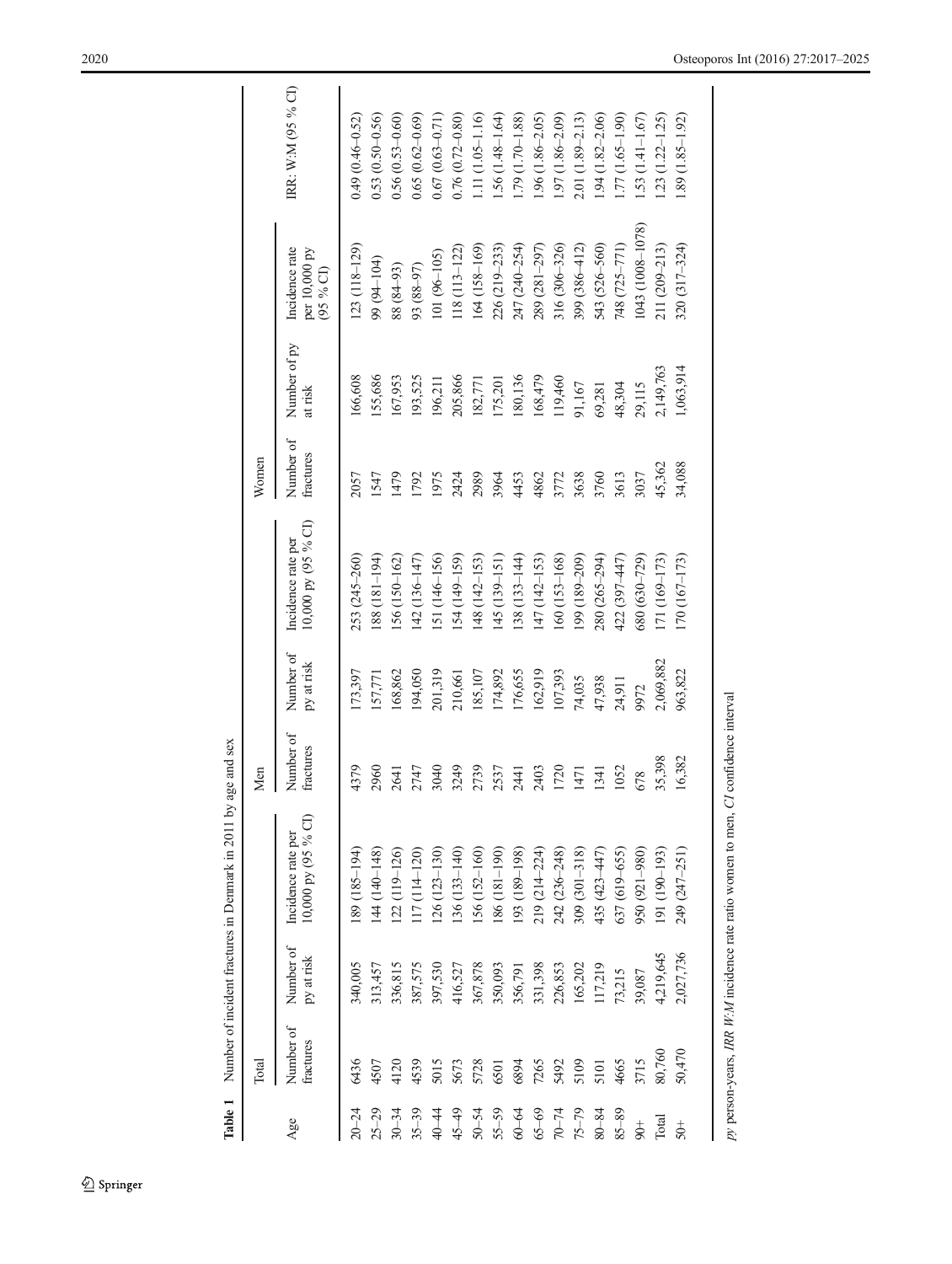<span id="page-3-0"></span>

| Table 1       |                        |                         | Number of incident fractures in Denmark in 2011 by a | ge and sex             |                         |                                             |                        |                         |                                             |                        |
|---------------|------------------------|-------------------------|------------------------------------------------------|------------------------|-------------------------|---------------------------------------------|------------------------|-------------------------|---------------------------------------------|------------------------|
|               | Total                  |                         |                                                      | Men                    |                         |                                             | Women                  |                         |                                             |                        |
| Age           | Number of<br>fractures | Number of<br>py at risk | 10,000 py (95 % CI)<br>Incidence rate per            | Number of<br>fractures | Number of<br>py at risk | $10,000$ py (95 % CI)<br>Incidence rate per | Number of<br>fractures | Number of py<br>at risk | Incidence rate<br>per 10,000 py<br>(95 % G) | IRR: W:M (95 % CI)     |
| $20 - 24$     | 6436                   | 340,005                 | 189 (185–194)                                        | 4379                   | 173,397                 | 253 (245-260)                               | 2057                   | 166,608                 | $123(118-129)$                              | $0.49(0.46 - 0.52)$    |
| $25 - 29$     | 4507                   | 313,457                 | $(44(140-148))$                                      | 2960                   | 157,771                 | $(88(181-194))$                             | 1547                   | 155,686                 | 99 (94-104)                                 | $0.53(0.50-0.56)$      |
| $30 - 34$     | 4120                   | 336,815                 | 122 (119-126)                                        | 2641                   | 168,862                 | $156(150-162)$                              | 1479                   | 167,953                 | 88 (84-93)                                  | $0.56(0.53 - 0.60)$    |
| $35 - 39$     | 4539                   | 387,575                 | $117(114-120)$                                       | 2747                   | 194,050                 | $(42(136-147))$                             | 1792                   | 193,525                 | (16-88) 56                                  | $0.65(0.62 - 0.69)$    |
| 40–44         | 5015                   | 397,530                 | $(26(123-130))$                                      | 3040                   | 201,319                 | $151(146-156)$                              | 1975                   | 196,211                 | $101(96-105)$                               | $0.67(0.63 - 0.71)$    |
| $45 - 49$     | 5673                   | 416,527                 | $136(133 - 140)$                                     | 3249                   | 210,661                 | $[54 (149 - 159)]$                          | 2424                   | 205,866                 | $118(113 - 122)$                            | $0.76(0.72 - 0.80)$    |
| $50 - 54$     | 5728                   | 367,878                 | $156(152 - 160)$                                     | 2739                   | 185,107                 | $(48(142-153))$                             | 2989                   | 182,771                 | $164(158-169)$                              | $1.11(1.05 - 1.16)$    |
| $55 - 59$     | 6501                   | 350,093                 | 86 (181-190)                                         | 2537                   | 174,892                 | $145(139 - 151)$                            | 3964                   | 175,201                 | 226 (219-233)                               | $1.56(1.48 - 1.64)$    |
| $60 - 64$     | 6894                   | 356,791                 | [93 (189-198)                                        | 2441                   | 176,655                 | $138(133 - 144)$                            | 4453                   | 180,136                 | 247 (240–254)                               | $1.79(1.70 - 1.88)$    |
| $65 - 69$     | 7265                   | 331,398                 | 219 (214–224)                                        | 2403                   | 162,919                 | $(47(142-153))$                             | 4862                   | 168,479                 | 289 (281-297)                               | $.96(1.86 - 2.05)$     |
| $70 - 74$     | 5492                   | 226,853                 | 242 (236-248)                                        | 1720                   | 107,393                 | $.60(153 - 168)$                            | 3772                   | 119,460                 | 316 (306-326)                               | $1.97(1.86 - 2.09)$    |
| $75 - 79$     | 5109                   | 165,202                 | $309(301 - 318)$                                     | 1471                   | 74,035                  | $(99(189-209))$                             | 3638                   | 91,167                  | 399 (386-412)                               | $2.01(1.89 - 2.13)$    |
| $80 - 84$     | 5101                   | 117,219                 | 435 (423-447)                                        | 1341                   | 47,938                  | 280 (265-294)                               | 3760                   | 69,281                  | 543 (526-560)                               | $1.94(1.82 - 2.06)$    |
| $85 - 89$     | 4665                   | 73,215                  | 637 (619-655)                                        | 1052                   | 24,911                  | 422 (397–447)                               | 3613                   | 48,304                  | 748 (725–771)                               | $1.77(1.65-1.90)$      |
| $\frac{+}{6}$ | 3715                   | 39,087                  | 950 (921-980)                                        | 678                    | 9972                    | 680 (630–729)                               | 3037                   | 29,115                  | 1043 (1008-1078)                            | $1.53(1.41 - 1.67)$    |
| Total         | 80,760                 | 4,219,645               | 191 (190-193)                                        | 35,398                 | 2,069,882               | 171 (169-173)                               | 45,362                 | 2,149,763               | 211 (209-213)                               | $1.23$ $(1.22 - 1.25)$ |
| $50+$         | 50,470                 | 2,027,736               | 249 (247-251)                                        | 16,382                 | 963,822                 | $170(167-173)$                              | 34,088                 | 1,063,914               | 320 (317-324)                               | $1.89(1.85 - 1.92)$    |
|               |                        |                         |                                                      |                        |                         |                                             |                        |                         |                                             |                        |

py person-years, IRR  $W:M$  incidence rate ratio women to men, CI confidence interval

 $py$  person-years, IRR W:M incidence rate ratio women to men,  $CI$  confidence interval

# $\underline{\textcircled{\tiny 2}}$  Springer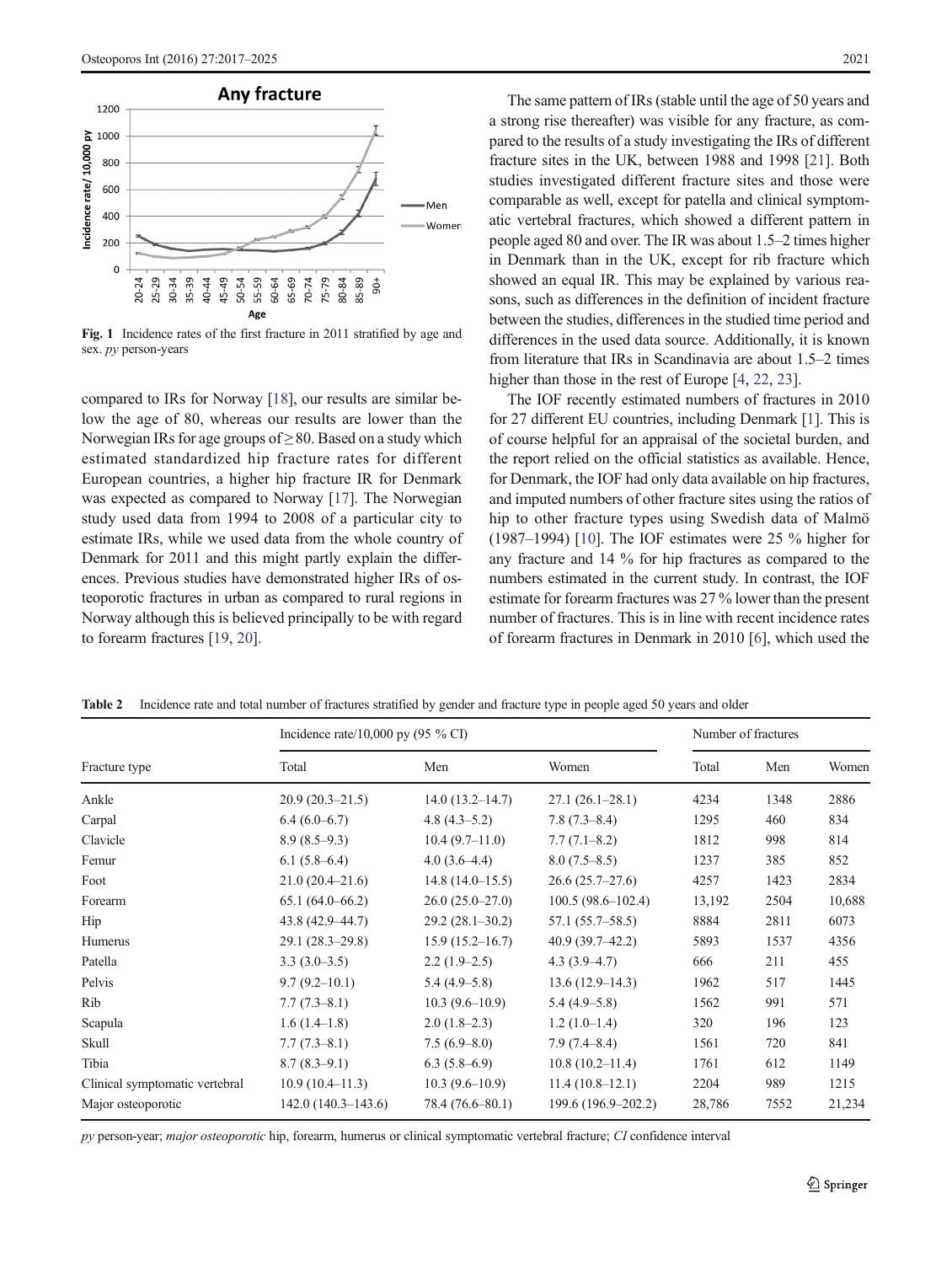<span id="page-4-0"></span>

Fig. 1 Incidence rates of the first fracture in 2011 stratified by age and sex. py person-years

compared to IRs for Norway [[18](#page-8-0)], our results are similar below the age of 80, whereas our results are lower than the Norwegian IRs for age groups of  $\geq 80$ . Based on a study which estimated standardized hip fracture rates for different European countries, a higher hip fracture IR for Denmark was expected as compared to Norway [[17\]](#page-8-0). The Norwegian study used data from 1994 to 2008 of a particular city to estimate IRs, while we used data from the whole country of Denmark for 2011 and this might partly explain the differences. Previous studies have demonstrated higher IRs of osteoporotic fractures in urban as compared to rural regions in Norway although this is believed principally to be with regard to forearm fractures [[19](#page-8-0), [20](#page-8-0)].

The same pattern of IRs (stable until the age of 50 years and a strong rise thereafter) was visible for any fracture, as compared to the results of a study investigating the IRs of different fracture sites in the UK, between 1988 and 1998 [[21](#page-8-0)]. Both studies investigated different fracture sites and those were comparable as well, except for patella and clinical symptomatic vertebral fractures, which showed a different pattern in people aged 80 and over. The IR was about 1.5–2 times higher in Denmark than in the UK, except for rib fracture which showed an equal IR. This may be explained by various reasons, such as differences in the definition of incident fracture between the studies, differences in the studied time period and differences in the used data source. Additionally, it is known from literature that IRs in Scandinavia are about 1.5–2 times higher than those in the rest of Europe [[4](#page-7-0), [22](#page-8-0), [23](#page-8-0)].

The IOF recently estimated numbers of fractures in 2010 for 27 different EU countries, including Denmark [[1\]](#page-7-0). This is of course helpful for an appraisal of the societal burden, and the report relied on the official statistics as available. Hence, for Denmark, the IOF had only data available on hip fractures, and imputed numbers of other fracture sites using the ratios of hip to other fracture types using Swedish data of Malmö (1987–1994) [[10\]](#page-7-0). The IOF estimates were 25 % higher for any fracture and 14 % for hip fractures as compared to the numbers estimated in the current study. In contrast, the IOF estimate for forearm fractures was 27 % lower than the present number of fractures. This is in line with recent incidence rates of forearm fractures in Denmark in 2010 [[6\]](#page-7-0), which used the

Table 2 Incidence rate and total number of fractures stratified by gender and fracture type in people aged 50 years and older

|                                | Incidence rate/10,000 py $(95\% \text{ CI})$ | Number of fractures |                       |        |      |        |
|--------------------------------|----------------------------------------------|---------------------|-----------------------|--------|------|--------|
| Fracture type                  | Total                                        | Men                 | Women                 | Total  | Men  | Women  |
| Ankle                          | $20.9(20.3-21.5)$                            | $14.0(13.2 - 14.7)$ | $27.1(26.1-28.1)$     | 4234   | 1348 | 2886   |
| Carpal                         | $6.4(6.0-6.7)$                               | 4.8 $(4.3-5.2)$     | 7.8(7.3–8.4)          | 1295   | 460  | 834    |
| Clavicle                       | $8.9(8.5-9.3)$                               | $10.4(9.7-11.0)$    | $7.7(7.1 - 8.2)$      | 1812   | 998  | 814    |
| Femur                          | $6.1(5.8-6.4)$                               | $4.0(3.6-4.4)$      | $8.0(7.5-8.5)$        | 1237   | 385  | 852    |
| Foot                           | $21.0(20.4 - 21.6)$                          | $14.8(14.0-15.5)$   | $26.6(25.7-27.6)$     | 4257   | 1423 | 2834   |
| Forearm                        | $65.1(64.0 - 66.2)$                          | $26.0(25.0-27.0)$   | $100.5(98.6 - 102.4)$ | 13,192 | 2504 | 10,688 |
| Hip                            | 43.8 (42.9–44.7)                             | $29.2(28.1-30.2)$   | $57.1(55.7 - 58.5)$   | 8884   | 2811 | 6073   |
| Humerus                        | $29.1(28.3 - 29.8)$                          | $15.9(15.2 - 16.7)$ | $40.9(39.7-42.2)$     | 5893   | 1537 | 4356   |
| Patella                        | $3.3(3.0-3.5)$                               | $2.2(1.9-2.5)$      | $4.3(3.9-4.7)$        | 666    | 211  | 455    |
| Pelvis                         | $9.7(9.2 - 10.1)$                            | $5.4(4.9-5.8)$      | $13.6(12.9-14.3)$     | 1962   | 517  | 1445   |
| Rib                            | $7.7(7.3-8.1)$                               | $10.3(9.6-10.9)$    | $5.4(4.9-5.8)$        | 1562   | 991  | 571    |
| Scapula                        | $1.6(1.4-1.8)$                               | $2.0(1.8-2.3)$      | $1.2(1.0-1.4)$        | 320    | 196  | 123    |
| Skull                          | $7.7(7.3-8.1)$                               | $7.5(6.9 - 8.0)$    | 7.9(7.4–8.4)          | 1561   | 720  | 841    |
| Tibia                          | $8.7(8.3-9.1)$                               | $6.3(5.8-6.9)$      | $10.8(10.2 - 11.4)$   | 1761   | 612  | 1149   |
| Clinical symptomatic vertebral | $10.9(10.4-11.3)$                            | $10.3(9.6-10.9)$    | $11.4(10.8-12.1)$     | 2204   | 989  | 1215   |
| Major osteoporotic             | $142.0(140.3-143.6)$                         | 78.4 (76.6–80.1)    | 199.6 (196.9–202.2)   | 28,786 | 7552 | 21,234 |

py person-year; major osteoporotic hip, forearm, humerus or clinical symptomatic vertebral fracture; CI confidence interval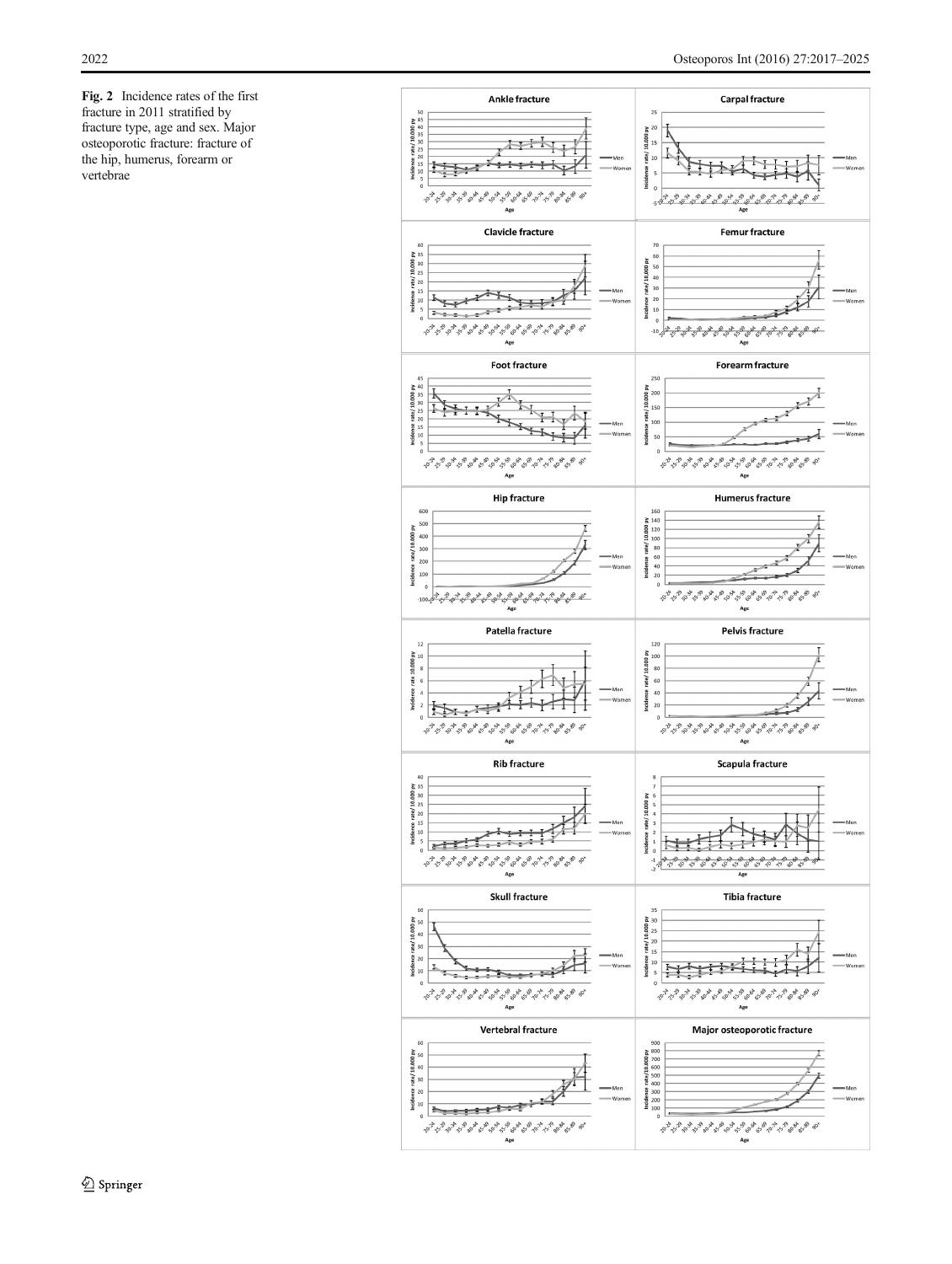<span id="page-5-0"></span>Fig. 2 Incidence rates of the first fracture in 2011 stratified by fracture type, age and sex. Major osteoporotic fracture: fracture of the hip, humerus, forearm or vertebrae

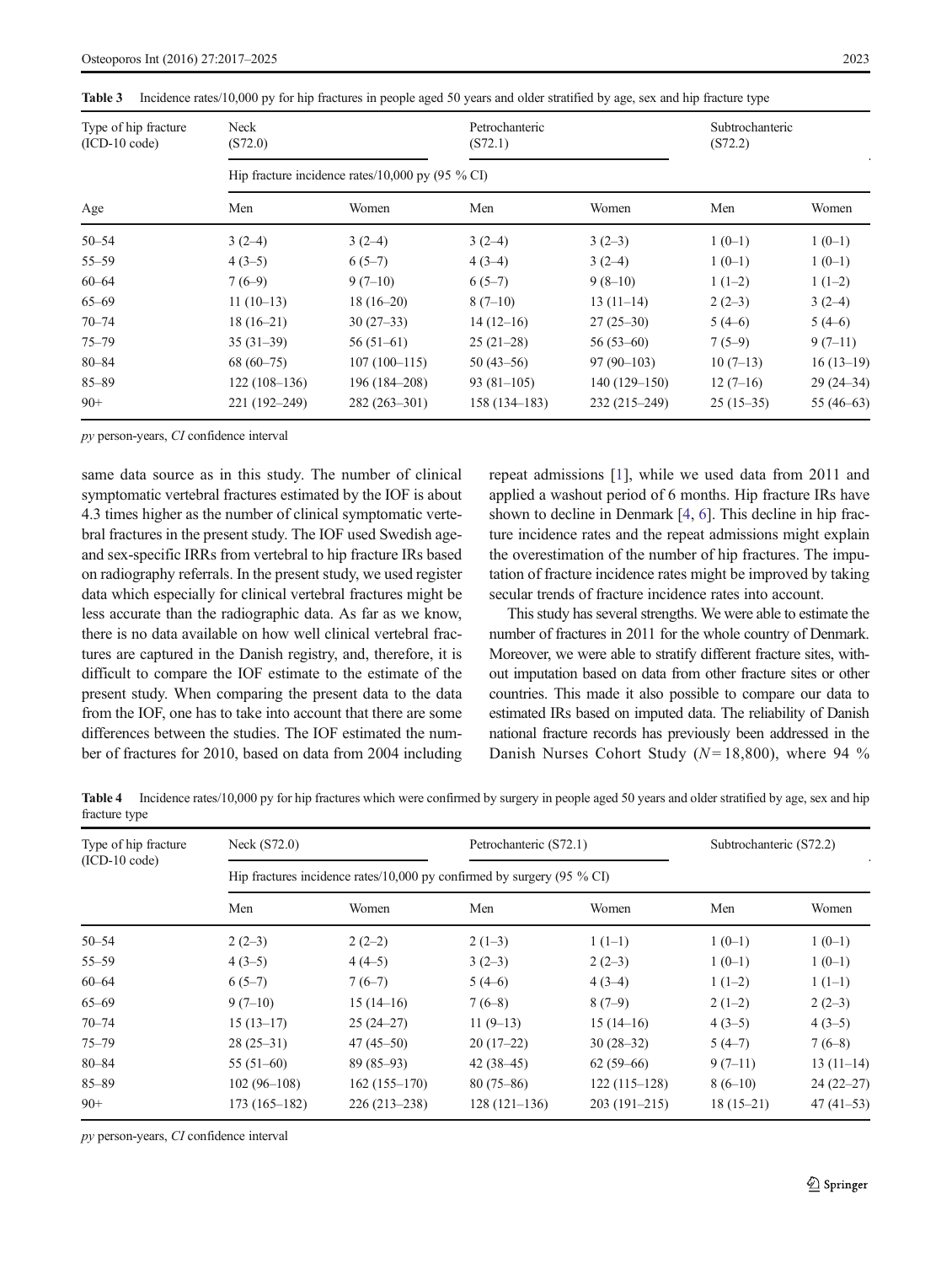| Type of hip fracture<br>$(ICD-10 code)$ | Neck<br>(S72.0) |                                                     | Petrochanteric<br>(S72.1) |                | Subtrochanteric<br>(S72.2) |              |
|-----------------------------------------|-----------------|-----------------------------------------------------|---------------------------|----------------|----------------------------|--------------|
|                                         |                 | Hip fracture incidence rates/10,000 py (95 $\%$ CI) |                           |                |                            |              |
| Age                                     | Men             | Women                                               | Men                       | Women          | Men                        | Women        |
| $50 - 54$                               | $3(2-4)$        | $3(2-4)$                                            | $3(2-4)$                  | $3(2-3)$       | $1(0-1)$                   | $1(0-1)$     |
| $55 - 59$                               | $4(3-5)$        | $6(5-7)$                                            | $4(3-4)$                  | $3(2-4)$       | $1(0-1)$                   | $1(0-1)$     |
| $60 - 64$                               | $7(6-9)$        | $9(7-10)$                                           | $6(5-7)$                  | $9(8-10)$      | $1(1-2)$                   | $1(1-2)$     |
| $65 - 69$                               | $11(10-13)$     | $18(16-20)$                                         | $8(7-10)$                 | $13(11-14)$    | $2(2-3)$                   | $3(2-4)$     |
| $70 - 74$                               | $18(16-21)$     | $30(27-33)$                                         | $14(12-16)$               | $27(25-30)$    | $5(4-6)$                   | $5(4-6)$     |
| $75 - 79$                               | $35(31-39)$     | $56(51-61)$                                         | $25(21-28)$               | $56(53-60)$    | $7(5-9)$                   | $9(7-11)$    |
| $80 - 84$                               | $68(60-75)$     | $107(100-115)$                                      | $50(43-56)$               | $97(90-103)$   | $10(7-13)$                 | $16(13-19)$  |
| $85 - 89$                               | $122(108-136)$  | 196 (184-208)                                       | $93(81-105)$              | $140(129-150)$ | $12(7-16)$                 | $29(24-34)$  |
| $90+$                                   | 221 (192-249)   | 282 (263-301)                                       | $158(134 - 183)$          | 232 (215-249)  | $25(15-35)$                | 55 $(46-63)$ |

<span id="page-6-0"></span>

|  |  |  | Table 3 Incidence rates/10,000 py for hip fractures in people aged 50 years and older stratified by age, sex and hip fracture type |  |
|--|--|--|------------------------------------------------------------------------------------------------------------------------------------|--|
|--|--|--|------------------------------------------------------------------------------------------------------------------------------------|--|

py person-years, CI confidence interval

same data source as in this study. The number of clinical symptomatic vertebral fractures estimated by the IOF is about 4.3 times higher as the number of clinical symptomatic vertebral fractures in the present study. The IOF used Swedish ageand sex-specific IRRs from vertebral to hip fracture IRs based on radiography referrals. In the present study, we used register data which especially for clinical vertebral fractures might be less accurate than the radiographic data. As far as we know, there is no data available on how well clinical vertebral fractures are captured in the Danish registry, and, therefore, it is difficult to compare the IOF estimate to the estimate of the present study. When comparing the present data to the data from the IOF, one has to take into account that there are some differences between the studies. The IOF estimated the number of fractures for 2010, based on data from 2004 including

repeat admissions [\[1](#page-7-0)], while we used data from 2011 and applied a washout period of 6 months. Hip fracture IRs have shown to decline in Denmark [\[4](#page-7-0), [6](#page-7-0)]. This decline in hip fracture incidence rates and the repeat admissions might explain the overestimation of the number of hip fractures. The imputation of fracture incidence rates might be improved by taking secular trends of fracture incidence rates into account.

This study has several strengths. We were able to estimate the number of fractures in 2011 for the whole country of Denmark. Moreover, we were able to stratify different fracture sites, without imputation based on data from other fracture sites or other countries. This made it also possible to compare our data to estimated IRs based on imputed data. The reliability of Danish national fracture records has previously been addressed in the Danish Nurses Cohort Study ( $N = 18,800$ ), where 94 %

Table 4 Incidence rates/10,000 py for hip fractures which were confirmed by surgery in people aged 50 years and older stratified by age, sex and hip fracture type

| Type of hip fracture | Neck (S72.0)   |                | Petrochanteric (S72.1)                                                           |                | Subtrochanteric (S72.2) |             |
|----------------------|----------------|----------------|----------------------------------------------------------------------------------|----------------|-------------------------|-------------|
| $(ICD-10 code)$      |                |                | Hip fractures incidence rates/10,000 py confirmed by surgery $(95\% \text{ CI})$ |                |                         |             |
|                      | Men            | Women          | Men                                                                              | Women          | Men                     | Women       |
| $50 - 54$            | $2(2-3)$       | $2(2-2)$       | $2(1-3)$                                                                         | $1(1-1)$       | $1(0-1)$                | $1(0-1)$    |
| $55 - 59$            | $4(3-5)$       | $4(4-5)$       | $3(2-3)$                                                                         | $2(2-3)$       | $1(0-1)$                | $1(0-1)$    |
| $60 - 64$            | $6(5-7)$       | $7(6-7)$       | $5(4-6)$                                                                         | $4(3-4)$       | $1(1-2)$                | $1(1-1)$    |
| $65 - 69$            | $9(7-10)$      | $15(14-16)$    | $7(6-8)$                                                                         | $8(7-9)$       | $2(1-2)$                | $2(2-3)$    |
| $70 - 74$            | $15(13-17)$    | $25(24-27)$    | $11(9-13)$                                                                       | $15(14-16)$    | $4(3-5)$                | $4(3-5)$    |
| $75 - 79$            | $28(25-31)$    | $47(45-50)$    | $20(17-22)$                                                                      | $30(28-32)$    | $5(4-7)$                | $7(6-8)$    |
| 80-84                | $55(51-60)$    | $89(85-93)$    | $42(38-45)$                                                                      | $62(59-66)$    | $9(7-11)$               | $13(11-14)$ |
| $85 - 89$            | $102(96-108)$  | $162(155-170)$ | $80(75-86)$                                                                      | $122(115-128)$ | $8(6-10)$               | $24(22-27)$ |
| $90+$                | $173(165-182)$ | $226(213-238)$ | $128(121-136)$                                                                   | $203(191-215)$ | $18(15-21)$             | $47(41-53)$ |

py person-years, CI confidence interval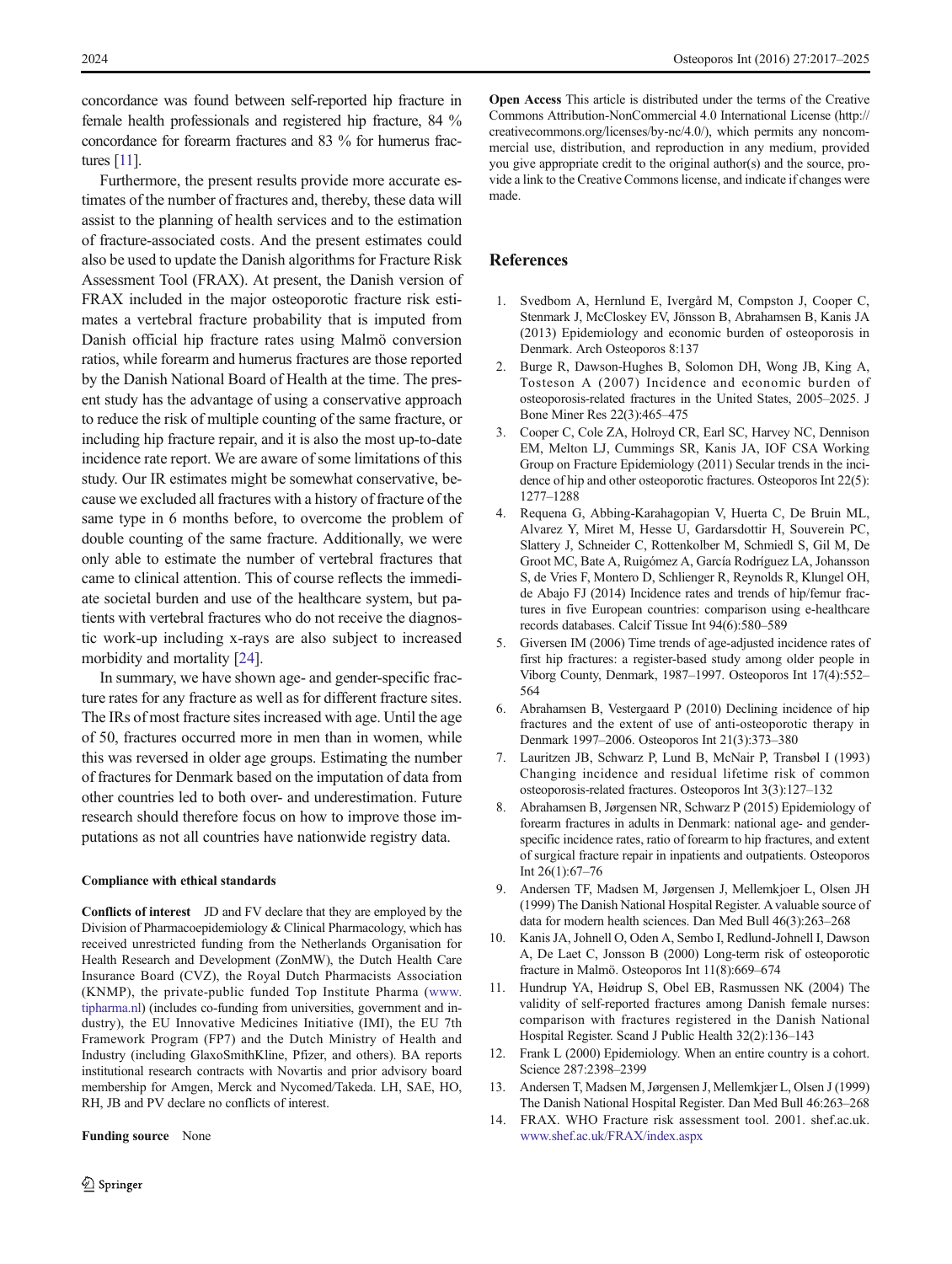<span id="page-7-0"></span>concordance was found between self-reported hip fracture in female health professionals and registered hip fracture, 84 % concordance for forearm fractures and 83 % for humerus fractures [11].

Furthermore, the present results provide more accurate estimates of the number of fractures and, thereby, these data will assist to the planning of health services and to the estimation of fracture-associated costs. And the present estimates could also be used to update the Danish algorithms for Fracture Risk Assessment Tool (FRAX). At present, the Danish version of FRAX included in the major osteoporotic fracture risk estimates a vertebral fracture probability that is imputed from Danish official hip fracture rates using Malmö conversion ratios, while forearm and humerus fractures are those reported by the Danish National Board of Health at the time. The present study has the advantage of using a conservative approach to reduce the risk of multiple counting of the same fracture, or including hip fracture repair, and it is also the most up-to-date incidence rate report. We are aware of some limitations of this study. Our IR estimates might be somewhat conservative, because we excluded all fractures with a history of fracture of the same type in 6 months before, to overcome the problem of double counting of the same fracture. Additionally, we were only able to estimate the number of vertebral fractures that came to clinical attention. This of course reflects the immediate societal burden and use of the healthcare system, but patients with vertebral fractures who do not receive the diagnostic work-up including x-rays are also subject to increased morbidity and mortality [[24](#page-8-0)].

In summary, we have shown age- and gender-specific fracture rates for any fracture as well as for different fracture sites. The IRs of most fracture sites increased with age. Until the age of 50, fractures occurred more in men than in women, while this was reversed in older age groups. Estimating the number of fractures for Denmark based on the imputation of data from other countries led to both over- and underestimation. Future research should therefore focus on how to improve those imputations as not all countries have nationwide registry data.

#### Compliance with ethical standards

Conflicts of interest JD and FV declare that they are employed by the Division of Pharmacoepidemiology & Clinical Pharmacology, which has received unrestricted funding from the Netherlands Organisation for Health Research and Development (ZonMW), the Dutch Health Care Insurance Board (CVZ), the Royal Dutch Pharmacists Association (KNMP), the private-public funded Top Institute Pharma ([www.](http://www.tipharma.nl/) [tipharma.nl](http://www.tipharma.nl/)) (includes co-funding from universities, government and industry), the EU Innovative Medicines Initiative (IMI), the EU 7th Framework Program (FP7) and the Dutch Ministry of Health and Industry (including GlaxoSmithKline, Pfizer, and others). BA reports institutional research contracts with Novartis and prior advisory board membership for Amgen, Merck and Nycomed/Takeda. LH, SAE, HO, RH, JB and PV declare no conflicts of interest.

#### Funding source None

Open Access This article is distributed under the terms of the Creative Commons Attribution-NonCommercial 4.0 International License (http:// creativecommons.org/licenses/by-nc/4.0/), which permits any noncommercial use, distribution, and reproduction in any medium, provided you give appropriate credit to the original author(s) and the source, provide a link to the Creative Commons license, and indicate if changes were made.

# References

- 1. Svedbom A, Hernlund E, Ivergård M, Compston J, Cooper C, Stenmark J, McCloskey EV, Jönsson B, Abrahamsen B, Kanis JA (2013) Epidemiology and economic burden of osteoporosis in Denmark. Arch Osteoporos 8:137
- 2. Burge R, Dawson-Hughes B, Solomon DH, Wong JB, King A, Tosteson A (2007) Incidence and economic burden of osteoporosis-related fractures in the United States, 2005–2025. J Bone Miner Res 22(3):465–475
- 3. Cooper C, Cole ZA, Holroyd CR, Earl SC, Harvey NC, Dennison EM, Melton LJ, Cummings SR, Kanis JA, IOF CSA Working Group on Fracture Epidemiology (2011) Secular trends in the incidence of hip and other osteoporotic fractures. Osteoporos Int 22(5): 1277–1288
- 4. Requena G, Abbing-Karahagopian V, Huerta C, De Bruin ML, Alvarez Y, Miret M, Hesse U, Gardarsdottir H, Souverein PC, Slattery J, Schneider C, Rottenkolber M, Schmiedl S, Gil M, De Groot MC, Bate A, Ruigómez A, García Rodríguez LA, Johansson S, de Vries F, Montero D, Schlienger R, Reynolds R, Klungel OH, de Abajo FJ (2014) Incidence rates and trends of hip/femur fractures in five European countries: comparison using e-healthcare records databases. Calcif Tissue Int 94(6):580–589
- 5. Giversen IM (2006) Time trends of age-adjusted incidence rates of first hip fractures: a register-based study among older people in Viborg County, Denmark, 1987–1997. Osteoporos Int 17(4):552– 564
- 6. Abrahamsen B, Vestergaard P (2010) Declining incidence of hip fractures and the extent of use of anti-osteoporotic therapy in Denmark 1997–2006. Osteoporos Int 21(3):373–380
- 7. Lauritzen JB, Schwarz P, Lund B, McNair P, Transbøl I (1993) Changing incidence and residual lifetime risk of common osteoporosis-related fractures. Osteoporos Int 3(3):127–132
- 8. Abrahamsen B, Jørgensen NR, Schwarz P (2015) Epidemiology of forearm fractures in adults in Denmark: national age- and genderspecific incidence rates, ratio of forearm to hip fractures, and extent of surgical fracture repair in inpatients and outpatients. Osteoporos Int 26(1):67–76
- 9. Andersen TF, Madsen M, Jørgensen J, Mellemkjoer L, Olsen JH (1999) The Danish National Hospital Register. A valuable source of data for modern health sciences. Dan Med Bull 46(3):263–268
- 10. Kanis JA, Johnell O, Oden A, Sembo I, Redlund-Johnell I, Dawson A, De Laet C, Jonsson B (2000) Long-term risk of osteoporotic fracture in Malmö. Osteoporos Int 11(8):669–674
- 11. Hundrup YA, Høidrup S, Obel EB, Rasmussen NK (2004) The validity of self-reported fractures among Danish female nurses: comparison with fractures registered in the Danish National Hospital Register. Scand J Public Health 32(2):136–143
- 12. Frank L (2000) Epidemiology. When an entire country is a cohort. Science 287:2398–2399
- 13. Andersen T, Madsen M, Jørgensen J, Mellemkjær L, Olsen J (1999) The Danish National Hospital Register. Dan Med Bull 46:263–268
- 14. FRAX. WHO Fracture risk assessment tool. 2001. shef.ac.uk. [www.shef.ac.uk/FRAX/index.aspx](http://www.shef.ac.uk/FRAX/index.aspx)